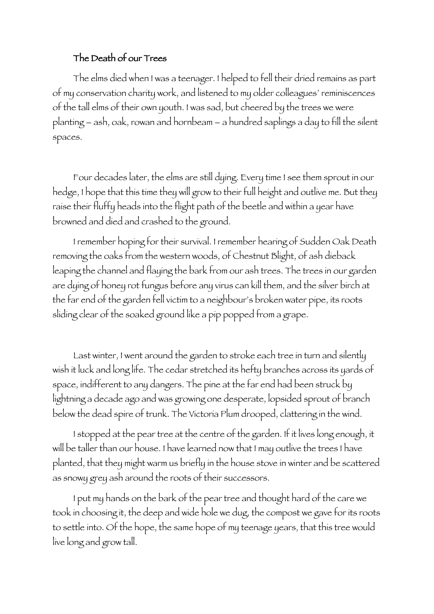## The Death of our Trees

The elms died when I was a teenager. I helped to fell their dried remains as part of my conservation charity work, and listened to my older colleagues' reminiscences of the tall elms of their own youth. I was sad, but cheered by the trees we were planting – ash, oak, rowan and hornbeam – a hundred saplings a day to fill the silent spaces.

Four decades later, the elms are still dying. Every time I see them sprout in our hedge, I hope that this time they will grow to their full height and outlive me. But they raise their fluffy heads into the flight path of the beetle and within a year have browned and died and crashed to the ground.

I remember hoping for their survival. I remember hearing of Sudden Oak Death removing the oaks from the western woods, of Chestnut Blight, of ash dieback leaping the channel and flaying the bark from our ash trees. The trees in our garden are dying of honey rot fungus before any virus can kill them, and the silver birch at the far end of the garden fell victim to a neighbour's broken water pipe, its roots sliding clear of the soaked ground like a pip popped from a grape.

Last winter, I went around the garden to stroke each tree in turn and silently wish it luck and long life. The cedar stretched its hefty branches across its yards of space, indifferent to any dangers. The pine at the far end had been struck by lightning a decade ago and was growing one desperate, lopsided sprout of branch below the dead spire of trunk. The Victoria Plum drooped, clattering in the wind.

I stopped at the pear tree at the centre of the garden. If it lives long enough, it will be taller than our house. I have learned now that I may outlive the trees I have planted, that they might warm us briefly in the house stove in winter and be scattered as snowy grey ash around the roots of their successors.

I put my hands on the bark of the pear tree and thought hard of the care we took in choosing it, the deep and wide hole we dug, the compost we gave for its roots to settle into. Of the hope, the same hope of my teenage years, that this tree would live long and grow tall.